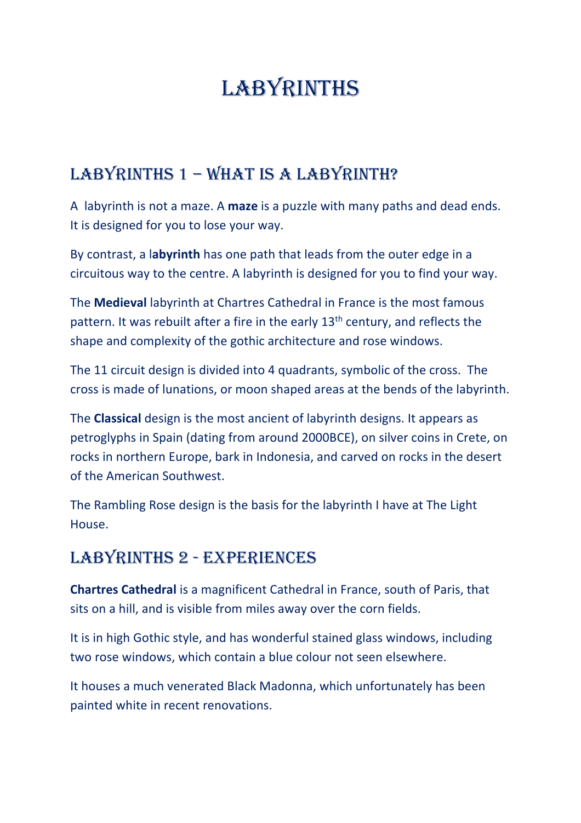# LABYRINTHS

# LABYRINTHS 1 - WHAT IS A LABYRINTH?

A labyrinth is not a maze. A **maze** is a puzzle with many paths and dead ends. It is designed for you to lose your way.

By contrast, a l**abyrinth** has one path that leads from the outer edge in a circuitous way to the centre. A labyrinth is designed for you to find your way.

The **Medieval** labyrinth at Chartres Cathedral in France is the most famous pattern. It was rebuilt after a fire in the early 13<sup>th</sup> century, and reflects the shape and complexity of the gothic architecture and rose windows.

The 11 circuit design is divided into 4 quadrants, symbolic of the cross. The cross is made of lunations, or moon shaped areas at the bends of the labyrinth.

The **Classical** design is the most ancient of labyrinth designs. It appears as petroglyphs in Spain (dating from around 2000BCE), on silver coins in Crete, on rocks in northern Europe, bark in Indonesia, and carved on rocks in the desert of the American Southwest.

The Rambling Rose design is the basis for the labyrinth I have at The Light House.

# LABYRINTHS 2 - EXPERIENCES

**Chartres Cathedral** is a magnificent Cathedral in France, south of Paris, that sits on a hill, and is visible from miles away over the corn fields.

It is in high Gothic style, and has wonderful stained glass windows, including two rose windows, which contain a blue colour not seen elsewhere.

It houses a much venerated Black Madonna, which unfortunately has been painted white in recent renovations.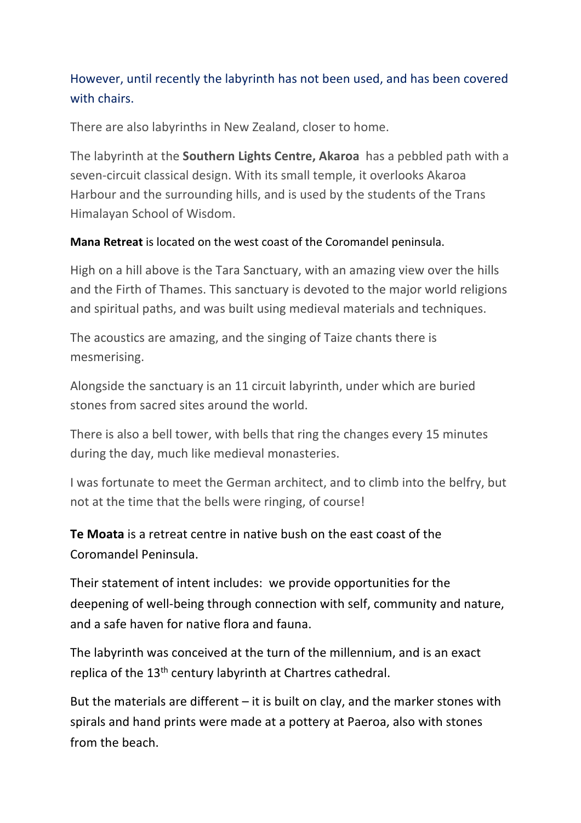#### However, until recently the labyrinth has not been used, and has been covered with chairs.

There are also labyrinths in New Zealand, closer to home.

The labyrinth at the **Southern Lights Centre, Akaroa** has a pebbled path with a seven-circuit classical design. With its small temple, it overlooks Akaroa Harbour and the surrounding hills, and is used by the students of the Trans Himalayan School of Wisdom.

#### **Mana Retreat** is located on the west coast of the Coromandel peninsula.

High on a hill above is the Tara Sanctuary, with an amazing view over the hills and the Firth of Thames. This sanctuary is devoted to the major world religions and spiritual paths, and was built using medieval materials and techniques.

The acoustics are amazing, and the singing of Taize chants there is mesmerising.

Alongside the sanctuary is an 11 circuit labyrinth, under which are buried stones from sacred sites around the world.

There is also a bell tower, with bells that ring the changes every 15 minutes during the day, much like medieval monasteries.

I was fortunate to meet the German architect, and to climb into the belfry, but not at the time that the bells were ringing, of course!

**Te Moata** is a retreat centre in native bush on the east coast of the Coromandel Peninsula.

Their statement of intent includes: we provide opportunities for the deepening of well-being through connection with self, community and nature, and a safe haven for native flora and fauna.

The labyrinth was conceived at the turn of the millennium, and is an exact replica of the 13<sup>th</sup> century labyrinth at Chartres cathedral.

But the materials are different  $-$  it is built on clay, and the marker stones with spirals and hand prints were made at a pottery at Paeroa, also with stones from the beach.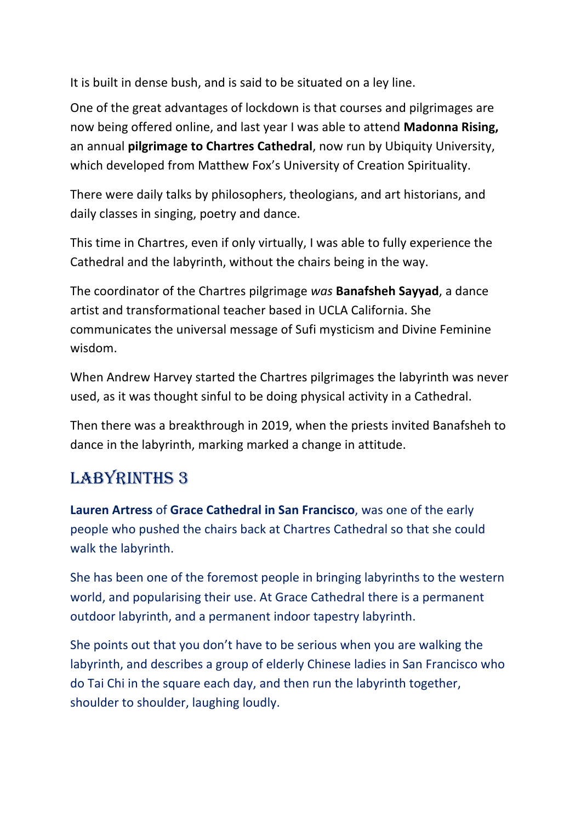It is built in dense bush, and is said to be situated on a ley line.

One of the great advantages of lockdown is that courses and pilgrimages are now being offered online, and last year I was able to attend **Madonna Rising,** an annual **pilgrimage to Chartres Cathedral**, now run by Ubiquity University, which developed from Matthew Fox's University of Creation Spirituality.

There were daily talks by philosophers, theologians, and art historians, and daily classes in singing, poetry and dance.

This time in Chartres, even if only virtually, I was able to fully experience the Cathedral and the labyrinth, without the chairs being in the way.

The coordinator of the Chartres pilgrimage *was* **Banafsheh Sayyad**, a dance artist and transformational teacher based in UCLA California. She communicates the universal message of Sufi mysticism and Divine Feminine wisdom.

When Andrew Harvey started the Chartres pilgrimages the labyrinth was never used, as it was thought sinful to be doing physical activity in a Cathedral.

Then there was a breakthrough in 2019, when the priests invited Banafsheh to dance in the labyrinth, marking marked a change in attitude.

# LABYRINTHS 3

**Lauren Artress** of **Grace Cathedral in San Francisco**, was one of the early people who pushed the chairs back at Chartres Cathedral so that she could walk the labyrinth.

She has been one of the foremost people in bringing labyrinths to the western world, and popularising their use. At Grace Cathedral there is a permanent outdoor labyrinth, and a permanent indoor tapestry labyrinth.

She points out that you don't have to be serious when you are walking the labyrinth, and describes a group of elderly Chinese ladies in San Francisco who do Tai Chi in the square each day, and then run the labyrinth together, shoulder to shoulder, laughing loudly.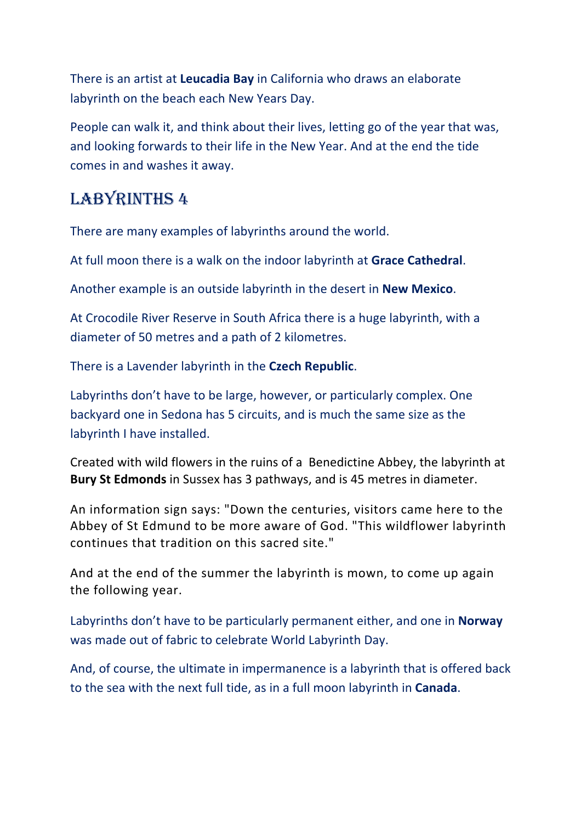There is an artist at **Leucadia Bay** in California who draws an elaborate labyrinth on the beach each New Years Day.

People can walk it, and think about their lives, letting go of the year that was, and looking forwards to their life in the New Year. And at the end the tide comes in and washes it away.

# LABYRINTHS 4

There are many examples of labyrinths around the world.

At full moon there is a walk on the indoor labyrinth at **Grace Cathedral**.

Another example is an outside labyrinth in the desert in **New Mexico**.

At Crocodile River Reserve in South Africa there is a huge labyrinth, with a diameter of 50 metres and a path of 2 kilometres.

There is a Lavender labyrinth in the **Czech Republic**.

Labyrinths don't have to be large, however, or particularly complex. One backyard one in Sedona has 5 circuits, and is much the same size as the labyrinth I have installed.

Created with wild flowers in the ruins of a Benedictine Abbey, the labyrinth at **Bury St Edmonds** in Sussex has 3 pathways, and is 45 metres in diameter.

An information sign says: "Down the centuries, visitors came here to the Abbey of St Edmund to be more aware of God. "This wildflower labyrinth continues that tradition on this sacred site."

And at the end of the summer the labyrinth is mown, to come up again the following year.

Labyrinths don't have to be particularly permanent either, and one in **Norway** was made out of fabric to celebrate World Labyrinth Day.

And, of course, the ultimate in impermanence is a labyrinth that is offered back to the sea with the next full tide, as in a full moon labyrinth in **Canada**.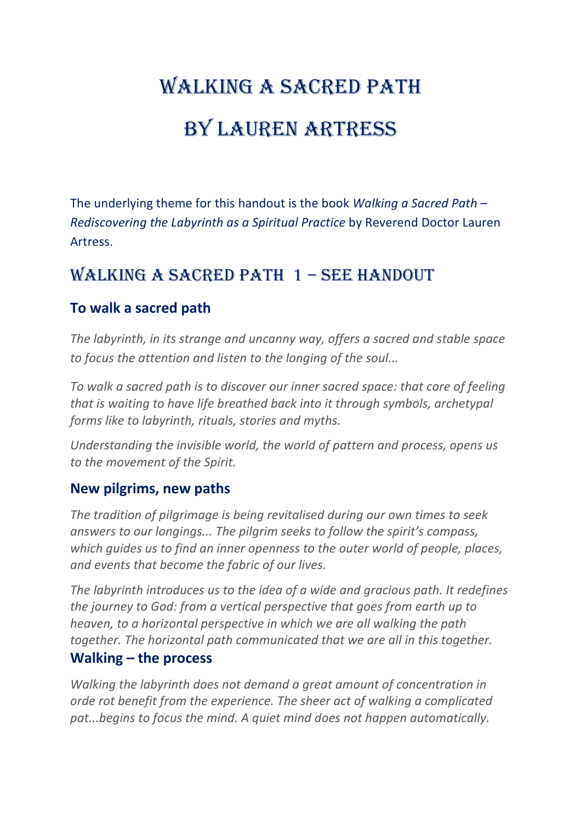# WALKING A SACRED PATH BY LAUREN ARTRESS

The underlying theme for this handout is the book *Walking a Sacred Path – Rediscovering the Labyrinth as a Spiritual Practice* by Reverend Doctor Lauren Artress.

# WALKING A SACRED PATH 1 - SEE HANDOUT

#### **To walk a sacred path**

*The labyrinth, in its strange and uncanny way, offers a sacred and stable space to focus the attention and listen to the longing of the soul...*

*To walk a sacred path is to discover our inner sacred space: that core of feeling that is waiting to have life breathed back into it through symbols, archetypal forms like to labyrinth, rituals, stories and myths.* 

*Understanding the invisible world, the world of pattern and process, opens us to the movement of the Spirit.*

#### **New pilgrims, new paths**

*The tradition of pilgrimage is being revitalised during our own times to seek answers to our longings... The pilgrim seeks to follow the spirit's compass, which guides us to find an inner openness to the outer world of people, places, and events that become the fabric of our lives.*

*The labyrinth introduces us to the idea of a wide and gracious path. It redefines the journey to God: from a vertical perspective that goes from earth up to heaven, to a horizontal perspective in which we are all walking the path together. The horizontal path communicated that we are all in this together.*

#### **Walking – the process**

*Walking the labyrinth does not demand a great amount of concentration in orde rot benefit from the experience. The sheer act of walking a complicated pat...begins to focus the mind. A quiet mind does not happen automatically.*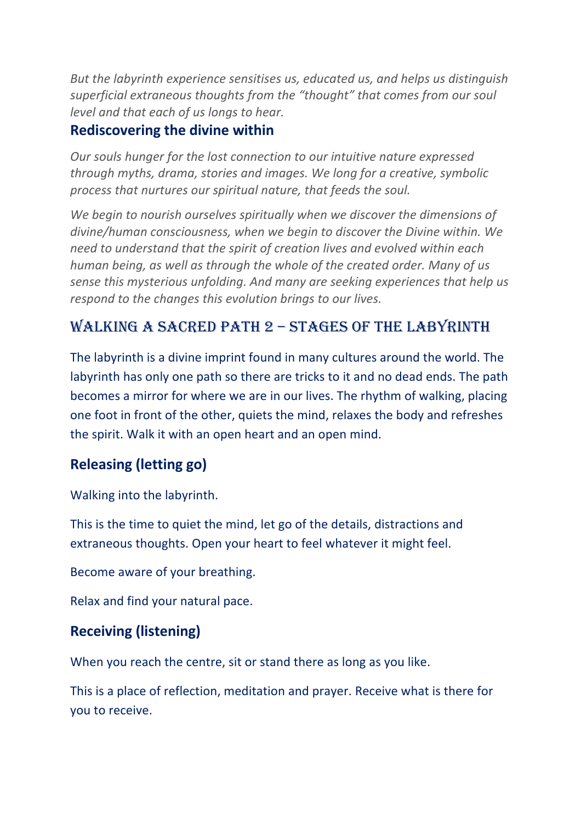*But the labyrinth experience sensitises us, educated us, and helps us distinguish superficial extraneous thoughts from the "thought" that comes from our soul level and that each of us longs to hear.*

#### **Rediscovering the divine within**

*Our souls hunger for the lost connection to our intuitive nature expressed through myths, drama, stories and images. We long for a creative, symbolic process that nurtures our spiritual nature, that feeds the soul.*

*We begin to nourish ourselves spiritually when we discover the dimensions of divine/human consciousness, when we begin to discover the Divine within. We need to understand that the spirit of creation lives and evolved within each human being, as well as through the whole of the created order. Many of us sense this mysterious unfolding. And many are seeking experiences that help us respond to the changes this evolution brings to our lives.*

# WALKING A SACRED PATH  $2$  – STAGES OF THE LABYRINTH

The labyrinth is a divine imprint found in many cultures around the world. The labyrinth has only one path so there are tricks to it and no dead ends. The path becomes a mirror for where we are in our lives. The rhythm of walking, placing one foot in front of the other, quiets the mind, relaxes the body and refreshes the spirit. Walk it with an open heart and an open mind.

## **Releasing (letting go)**

Walking into the labyrinth.

This is the time to quiet the mind, let go of the details, distractions and extraneous thoughts. Open your heart to feel whatever it might feel.

Become aware of your breathing.

Relax and find your natural pace.

## **Receiving (listening)**

When you reach the centre, sit or stand there as long as you like.

This is a place of reflection, meditation and prayer. Receive what is there for you to receive.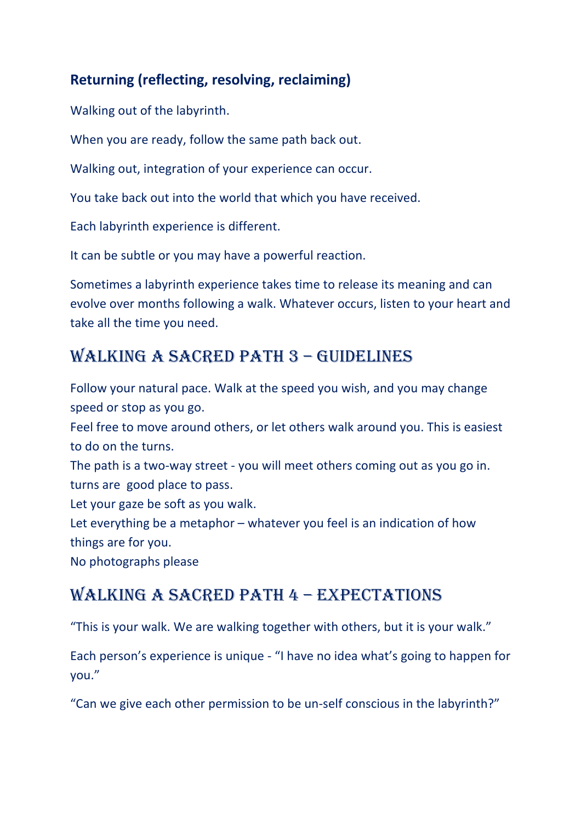#### **Returning (reflecting, resolving, reclaiming)**

Walking out of the labyrinth.

When you are ready, follow the same path back out.

Walking out, integration of your experience can occur.

You take back out into the world that which you have received.

Each labyrinth experience is different.

It can be subtle or you may have a powerful reaction.

Sometimes a labyrinth experience takes time to release its meaning and can evolve over months following a walk. Whatever occurs, listen to your heart and take all the time you need.

# WALKING A SACRED PATH 3 - GUIDELINES

Follow your natural pace. Walk at the speed you wish, and you may change speed or stop as you go. Feel free to move around others, or let others walk around you. This is easiest to do on the turns. The path is a two-way street - you will meet others coming out as you go in.

turns are good place to pass.

Let your gaze be soft as you walk.

Let everything be a metaphor – whatever you feel is an indication of how things are for you.

No photographs please

# WALKING A SACRED PATH 4 - EXPECTATIONS

"This is your walk. We are walking together with others, but it is your walk."

Each person's experience is unique - "I have no idea what's going to happen for you."

"Can we give each other permission to be un-self conscious in the labyrinth?"